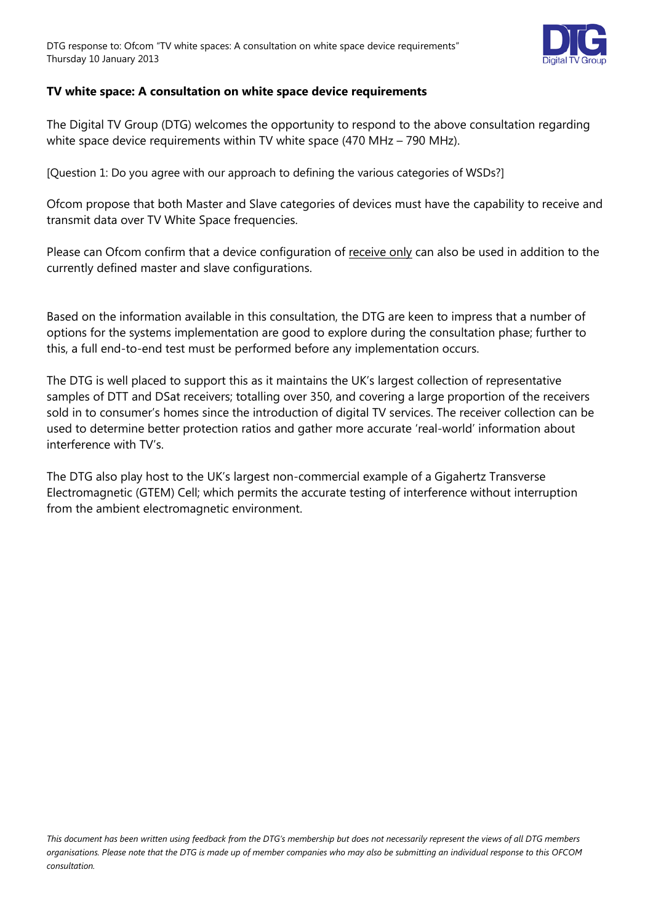

## **TV white space: A consultation on white space device requirements**

The Digital TV Group (DTG) welcomes the opportunity to respond to the above consultation regarding white space device requirements within TV white space (470 MHz – 790 MHz).

[Question 1: Do you agree with our approach to defining the various categories of WSDs?]

Ofcom propose that both Master and Slave categories of devices must have the capability to receive and transmit data over TV White Space frequencies.

Please can Ofcom confirm that a device configuration of receive only can also be used in addition to the currently defined master and slave configurations.

Based on the information available in this consultation, the DTG are keen to impress that a number of options for the systems implementation are good to explore during the consultation phase; further to this, a full end-to-end test must be performed before any implementation occurs.

The DTG is well placed to support this as it maintains the UK's largest collection of representative samples of DTT and DSat receivers; totalling over 350, and covering a large proportion of the receivers sold in to consumer's homes since the introduction of digital TV services. The receiver collection can be used to determine better protection ratios and gather more accurate 'real-world' information about interference with TV's.

The DTG also play host to the UK's largest non-commercial example of a Gigahertz Transverse Electromagnetic (GTEM) Cell; which permits the accurate testing of interference without interruption from the ambient electromagnetic environment.